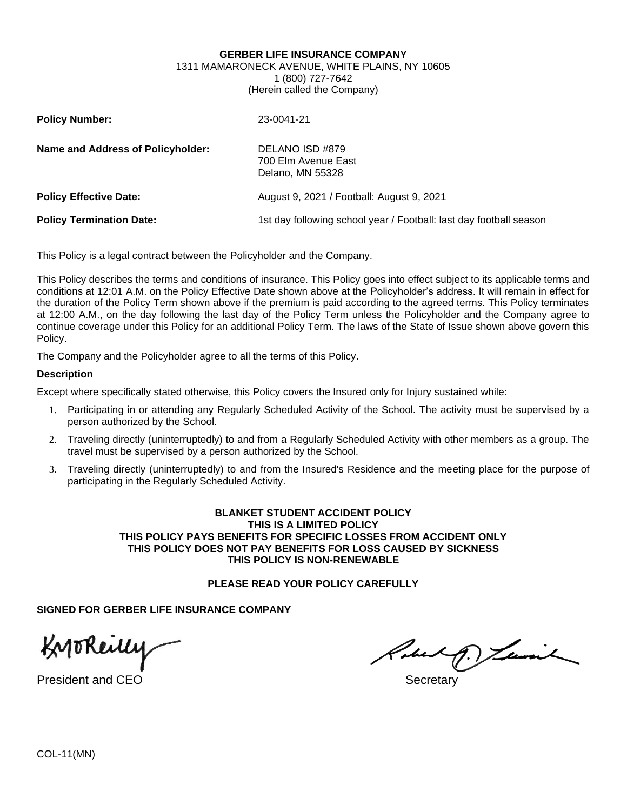#### **GERBER LIFE INSURANCE COMPANY**

1311 MAMARONECK AVENUE, WHITE PLAINS, NY 10605 1 (800) 727-7642 (Herein called the Company)

| <b>Policy Number:</b>             | 23-0041-21                                                         |  |
|-----------------------------------|--------------------------------------------------------------------|--|
| Name and Address of Policyholder: | DELANO ISD #879<br>700 Elm Avenue East<br>Delano, MN 55328         |  |
| <b>Policy Effective Date:</b>     | August 9, 2021 / Football: August 9, 2021                          |  |
| <b>Policy Termination Date:</b>   | 1st day following school year / Football: last day football season |  |

This Policy is a legal contract between the Policyholder and the Company.

This Policy describes the terms and conditions of insurance. This Policy goes into effect subject to its applicable terms and conditions at 12:01 A.M. on the Policy Effective Date shown above at the Policyholder's address. It will remain in effect for the duration of the Policy Term shown above if the premium is paid according to the agreed terms. This Policy terminates at 12:00 A.M., on the day following the last day of the Policy Term unless the Policyholder and the Company agree to continue coverage under this Policy for an additional Policy Term. The laws of the State of Issue shown above govern this Policy.

The Company and the Policyholder agree to all the terms of this Policy.

#### **Description**

Except where specifically stated otherwise, this Policy covers the Insured only for Injury sustained while:

- 1. Participating in or attending any Regularly Scheduled Activity of the School. The activity must be supervised by a person authorized by the School.
- 2. Traveling directly (uninterruptedly) to and from a Regularly Scheduled Activity with other members as a group. The travel must be supervised by a person authorized by the School.
- 3. Traveling directly (uninterruptedly) to and from the Insured's Residence and the meeting place for the purpose of participating in the Regularly Scheduled Activity.

#### **BLANKET STUDENT ACCIDENT POLICY THIS IS A LIMITED POLICY THIS POLICY PAYS BENEFITS FOR SPECIFIC LOSSES FROM ACCIDENT ONLY THIS POLICY DOES NOT PAY BENEFITS FOR LOSS CAUSED BY SICKNESS THIS POLICY IS NON-RENEWABLE**

# **PLEASE READ YOUR POLICY CAREFULLY**

**SIGNED FOR GERBER LIFE INSURANCE COMPANY**

KMOReilly

President and CEO Secretary and CEO Secretary and the secretary secretary and secretary secretary secretary secretary

Robert D. Lewis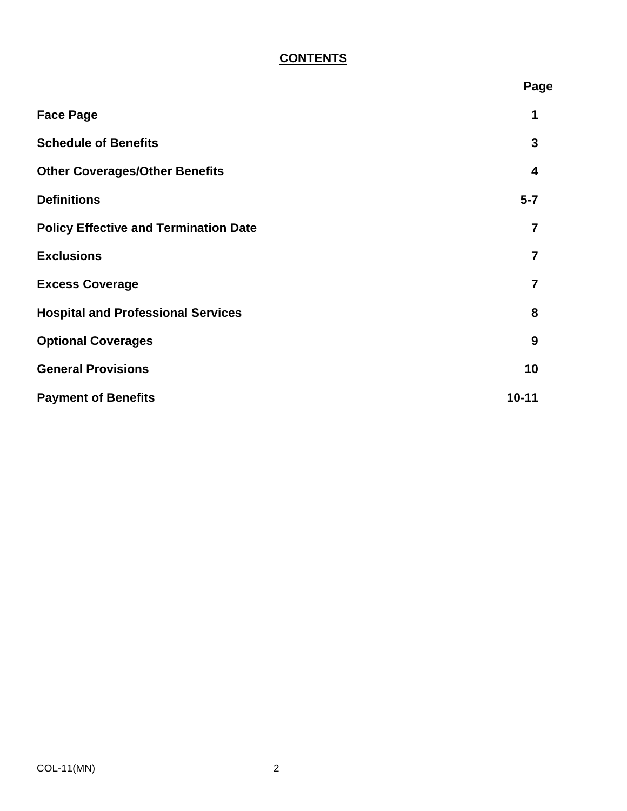# **CONTENTS**

|                                              | Page           |
|----------------------------------------------|----------------|
| <b>Face Page</b>                             | 1              |
| <b>Schedule of Benefits</b>                  | 3              |
| <b>Other Coverages/Other Benefits</b>        | 4              |
| <b>Definitions</b>                           | $5 - 7$        |
| <b>Policy Effective and Termination Date</b> | $\overline{7}$ |
| <b>Exclusions</b>                            | $\overline{7}$ |
| <b>Excess Coverage</b>                       | 7              |
| <b>Hospital and Professional Services</b>    | 8              |
| <b>Optional Coverages</b>                    | 9              |
| <b>General Provisions</b>                    | 10             |
| <b>Payment of Benefits</b>                   | $10 - 11$      |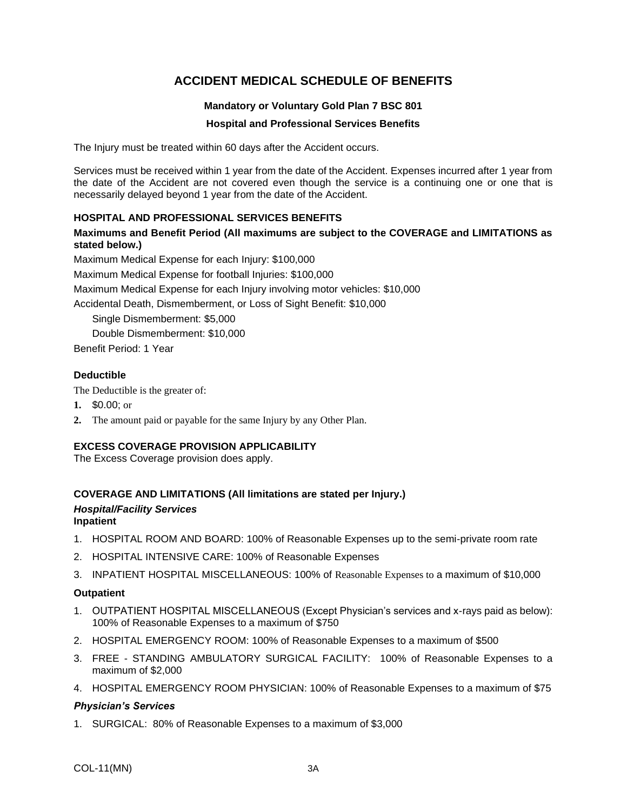# **ACCIDENT MEDICAL SCHEDULE OF BENEFITS**

# **Mandatory or Voluntary Gold Plan 7 BSC 801**

#### **Hospital and Professional Services Benefits**

The Injury must be treated within 60 days after the Accident occurs.

Services must be received within 1 year from the date of the Accident. Expenses incurred after 1 year from the date of the Accident are not covered even though the service is a continuing one or one that is necessarily delayed beyond 1 year from the date of the Accident.

### **HOSPITAL AND PROFESSIONAL SERVICES BENEFITS**

**Maximums and Benefit Period (All maximums are subject to the COVERAGE and LIMITATIONS as stated below.)**

Maximum Medical Expense for each Injury: \$100,000 Maximum Medical Expense for football Injuries: \$100,000 Maximum Medical Expense for each Injury involving motor vehicles: \$10,000 Accidental Death, Dismemberment, or Loss of Sight Benefit: \$10,000 Single Dismemberment: \$5,000 Double Dismemberment: \$10,000

Benefit Period: 1 Year

#### **Deductible**

The Deductible is the greater of:

- **1.** \$0.00; or
- **2.** The amount paid or payable for the same Injury by any Other Plan.

#### **EXCESS COVERAGE PROVISION APPLICABILITY**

The Excess Coverage provision does apply.

# **COVERAGE AND LIMITATIONS (All limitations are stated per Injury.)**

# *Hospital/Facility Services*

# **Inpatient**

- 1. HOSPITAL ROOM AND BOARD: 100% of Reasonable Expenses up to the semi-private room rate
- 2. HOSPITAL INTENSIVE CARE: 100% of Reasonable Expenses
- 3. INPATIENT HOSPITAL MISCELLANEOUS: 100% of Reasonable Expenses to a maximum of \$10,000

#### **Outpatient**

- 1. OUTPATIENT HOSPITAL MISCELLANEOUS (Except Physician's services and x-rays paid as below): 100% of Reasonable Expenses to a maximum of \$750
- 2. HOSPITAL EMERGENCY ROOM: 100% of Reasonable Expenses to a maximum of \$500
- 3. FREE STANDING AMBULATORY SURGICAL FACILITY: 100% of Reasonable Expenses to a maximum of \$2,000
- 4. HOSPITAL EMERGENCY ROOM PHYSICIAN: 100% of Reasonable Expenses to a maximum of \$75

#### *Physician's Services*

1. SURGICAL: 80% of Reasonable Expenses to a maximum of \$3,000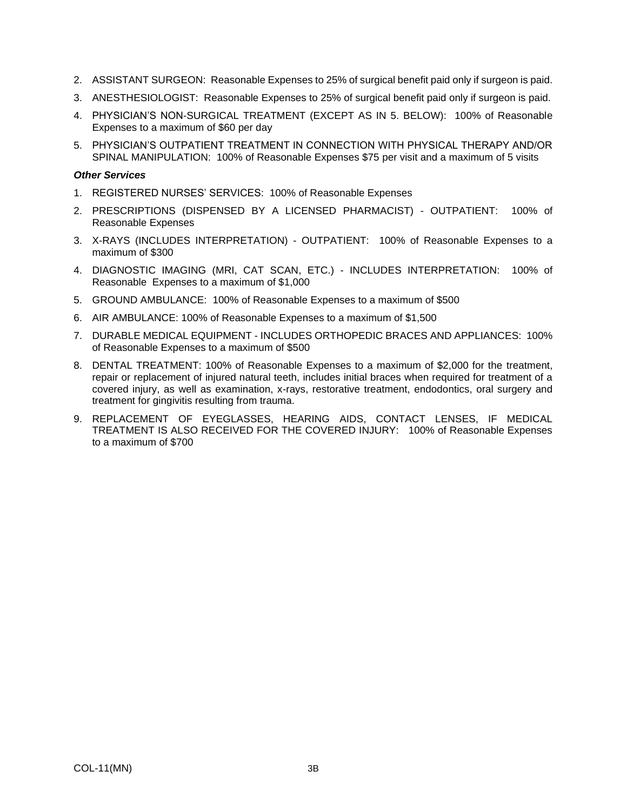- 2. ASSISTANT SURGEON: Reasonable Expenses to 25% of surgical benefit paid only if surgeon is paid.
- 3. ANESTHESIOLOGIST: Reasonable Expenses to 25% of surgical benefit paid only if surgeon is paid.
- 4. PHYSICIAN'S NON-SURGICAL TREATMENT (EXCEPT AS IN 5. BELOW): 100% of Reasonable Expenses to a maximum of \$60 per day
- 5. PHYSICIAN'S OUTPATIENT TREATMENT IN CONNECTION WITH PHYSICAL THERAPY AND/OR SPINAL MANIPULATION: 100% of Reasonable Expenses \$75 per visit and a maximum of 5 visits

#### *Other Services*

- 1. REGISTERED NURSES' SERVICES: 100% of Reasonable Expenses
- 2. PRESCRIPTIONS (DISPENSED BY A LICENSED PHARMACIST) OUTPATIENT: 100% of Reasonable Expenses
- 3. X-RAYS (INCLUDES INTERPRETATION) OUTPATIENT: 100% of Reasonable Expenses to a maximum of \$300
- 4. DIAGNOSTIC IMAGING (MRI, CAT SCAN, ETC.) INCLUDES INTERPRETATION: 100% of Reasonable Expenses to a maximum of \$1,000
- 5. GROUND AMBULANCE: 100% of Reasonable Expenses to a maximum of \$500
- 6. AIR AMBULANCE: 100% of Reasonable Expenses to a maximum of \$1,500
- 7. DURABLE MEDICAL EQUIPMENT INCLUDES ORTHOPEDIC BRACES AND APPLIANCES: 100% of Reasonable Expenses to a maximum of \$500
- 8. DENTAL TREATMENT: 100% of Reasonable Expenses to a maximum of \$2,000 for the treatment, repair or replacement of injured natural teeth, includes initial braces when required for treatment of a covered injury, as well as examination, x-rays, restorative treatment, endodontics, oral surgery and treatment for gingivitis resulting from trauma.
- 9. REPLACEMENT OF EYEGLASSES, HEARING AIDS, CONTACT LENSES, IF MEDICAL TREATMENT IS ALSO RECEIVED FOR THE COVERED INJURY: 100% of Reasonable Expenses to a maximum of \$700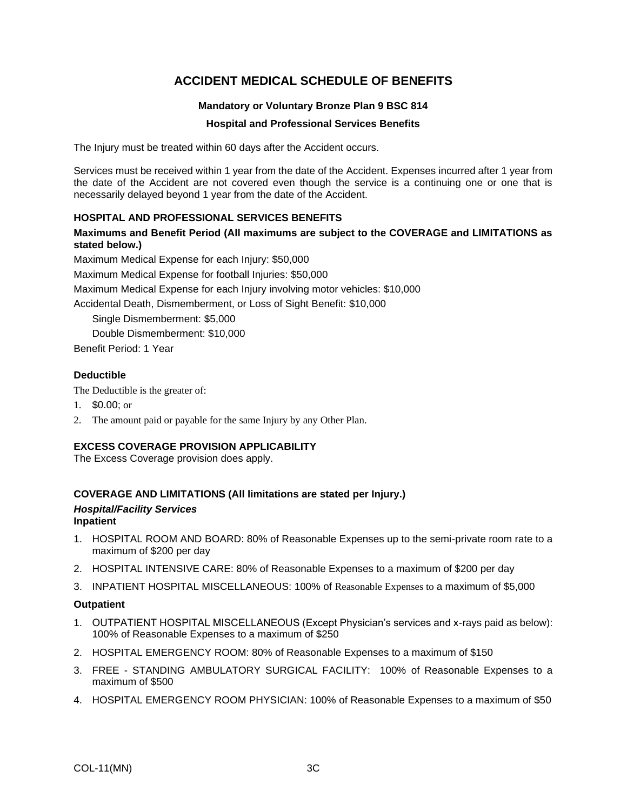# **ACCIDENT MEDICAL SCHEDULE OF BENEFITS**

# **Mandatory or Voluntary Bronze Plan 9 BSC 814**

#### **Hospital and Professional Services Benefits**

The Injury must be treated within 60 days after the Accident occurs.

Services must be received within 1 year from the date of the Accident. Expenses incurred after 1 year from the date of the Accident are not covered even though the service is a continuing one or one that is necessarily delayed beyond 1 year from the date of the Accident.

### **HOSPITAL AND PROFESSIONAL SERVICES BENEFITS**

**Maximums and Benefit Period (All maximums are subject to the COVERAGE and LIMITATIONS as stated below.)**

Maximum Medical Expense for each Injury: \$50,000 Maximum Medical Expense for football Injuries: \$50,000 Maximum Medical Expense for each Injury involving motor vehicles: \$10,000 Accidental Death, Dismemberment, or Loss of Sight Benefit: \$10,000 Single Dismemberment: \$5,000 Double Dismemberment: \$10,000

Benefit Period: 1 Year

#### **Deductible**

The Deductible is the greater of:

- 1. \$0.00; or
- 2. The amount paid or payable for the same Injury by any Other Plan.

#### **EXCESS COVERAGE PROVISION APPLICABILITY**

The Excess Coverage provision does apply.

#### **COVERAGE AND LIMITATIONS (All limitations are stated per Injury.)**

# *Hospital/Facility Services*

# **Inpatient**

- 1. HOSPITAL ROOM AND BOARD: 80% of Reasonable Expenses up to the semi-private room rate to a maximum of \$200 per day
- 2. HOSPITAL INTENSIVE CARE: 80% of Reasonable Expenses to a maximum of \$200 per day
- 3. INPATIENT HOSPITAL MISCELLANEOUS: 100% of Reasonable Expenses to a maximum of \$5,000

#### **Outpatient**

- 1. OUTPATIENT HOSPITAL MISCELLANEOUS (Except Physician's services and x-rays paid as below): 100% of Reasonable Expenses to a maximum of \$250
- 2. HOSPITAL EMERGENCY ROOM: 80% of Reasonable Expenses to a maximum of \$150
- 3. FREE STANDING AMBULATORY SURGICAL FACILITY: 100% of Reasonable Expenses to a maximum of \$500
- 4. HOSPITAL EMERGENCY ROOM PHYSICIAN: 100% of Reasonable Expenses to a maximum of \$50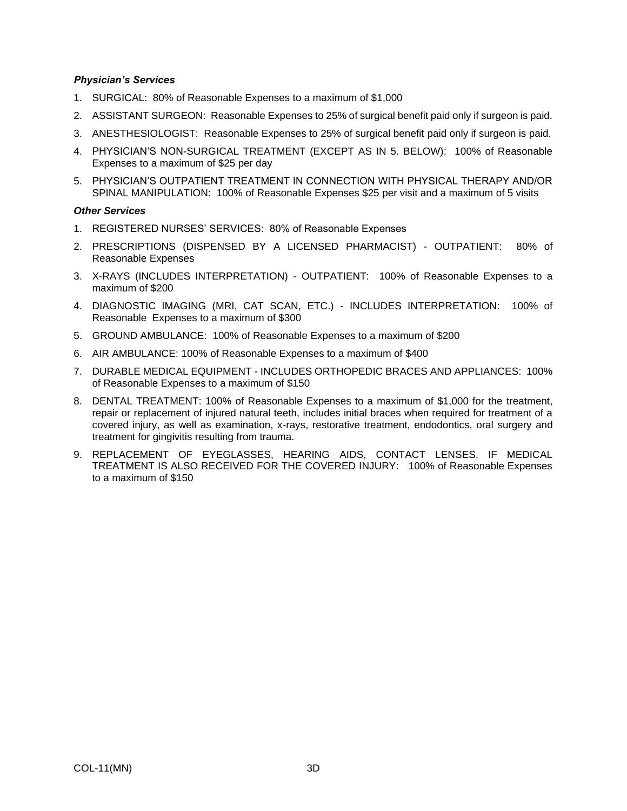#### *Physician's Services*

- 1. SURGICAL: 80% of Reasonable Expenses to a maximum of \$1,000
- 2. ASSISTANT SURGEON: Reasonable Expenses to 25% of surgical benefit paid only if surgeon is paid.
- 3. ANESTHESIOLOGIST: Reasonable Expenses to 25% of surgical benefit paid only if surgeon is paid.
- 4. PHYSICIAN'S NON-SURGICAL TREATMENT (EXCEPT AS IN 5. BELOW): 100% of Reasonable Expenses to a maximum of \$25 per day
- 5. PHYSICIAN'S OUTPATIENT TREATMENT IN CONNECTION WITH PHYSICAL THERAPY AND/OR SPINAL MANIPULATION: 100% of Reasonable Expenses \$25 per visit and a maximum of 5 visits

#### *Other Services*

- 1. REGISTERED NURSES' SERVICES: 80% of Reasonable Expenses
- 2. PRESCRIPTIONS (DISPENSED BY A LICENSED PHARMACIST) OUTPATIENT: 80% of Reasonable Expenses
- 3. X-RAYS (INCLUDES INTERPRETATION) OUTPATIENT: 100% of Reasonable Expenses to a maximum of \$200
- 4. DIAGNOSTIC IMAGING (MRI, CAT SCAN, ETC.) INCLUDES INTERPRETATION: 100% of Reasonable Expenses to a maximum of \$300
- 5. GROUND AMBULANCE: 100% of Reasonable Expenses to a maximum of \$200
- 6. AIR AMBULANCE: 100% of Reasonable Expenses to a maximum of \$400
- 7. DURABLE MEDICAL EQUIPMENT INCLUDES ORTHOPEDIC BRACES AND APPLIANCES: 100% of Reasonable Expenses to a maximum of \$150
- 8. DENTAL TREATMENT: 100% of Reasonable Expenses to a maximum of \$1,000 for the treatment, repair or replacement of injured natural teeth, includes initial braces when required for treatment of a covered injury, as well as examination, x-rays, restorative treatment, endodontics, oral surgery and treatment for gingivitis resulting from trauma.
- 9. REPLACEMENT OF EYEGLASSES, HEARING AIDS, CONTACT LENSES, IF MEDICAL TREATMENT IS ALSO RECEIVED FOR THE COVERED INJURY: 100% of Reasonable Expenses to a maximum of \$150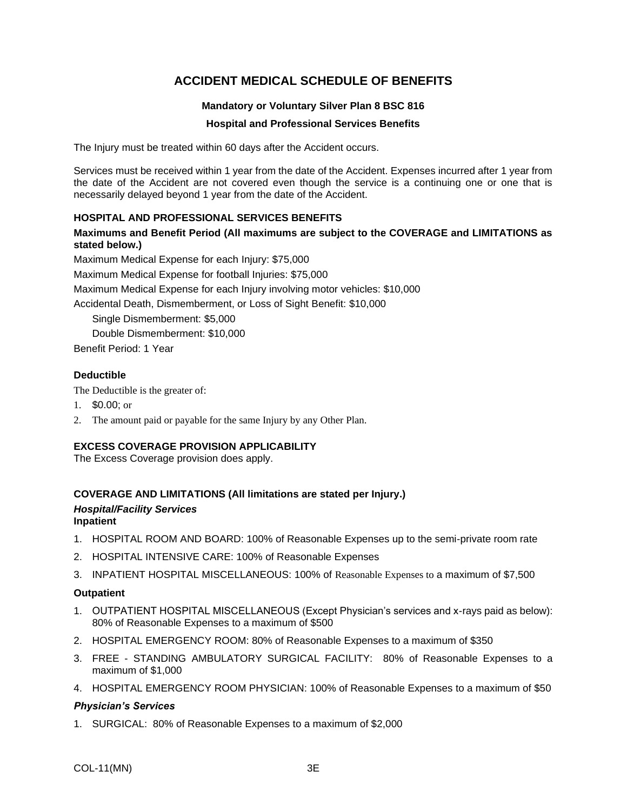# **ACCIDENT MEDICAL SCHEDULE OF BENEFITS**

# **Mandatory or Voluntary Silver Plan 8 BSC 816**

#### **Hospital and Professional Services Benefits**

The Injury must be treated within 60 days after the Accident occurs.

Services must be received within 1 year from the date of the Accident. Expenses incurred after 1 year from the date of the Accident are not covered even though the service is a continuing one or one that is necessarily delayed beyond 1 year from the date of the Accident.

### **HOSPITAL AND PROFESSIONAL SERVICES BENEFITS**

**Maximums and Benefit Period (All maximums are subject to the COVERAGE and LIMITATIONS as stated below.)**

Maximum Medical Expense for each Injury: \$75,000 Maximum Medical Expense for football Injuries: \$75,000 Maximum Medical Expense for each Injury involving motor vehicles: \$10,000 Accidental Death, Dismemberment, or Loss of Sight Benefit: \$10,000 Single Dismemberment: \$5,000 Double Dismemberment: \$10,000

Benefit Period: 1 Year

#### **Deductible**

The Deductible is the greater of:

- 1. \$0.00; or
- 2. The amount paid or payable for the same Injury by any Other Plan.

#### **EXCESS COVERAGE PROVISION APPLICABILITY**

The Excess Coverage provision does apply.

# **COVERAGE AND LIMITATIONS (All limitations are stated per Injury.)**

# *Hospital/Facility Services*

# **Inpatient**

- 1. HOSPITAL ROOM AND BOARD: 100% of Reasonable Expenses up to the semi-private room rate
- 2. HOSPITAL INTENSIVE CARE: 100% of Reasonable Expenses
- 3. INPATIENT HOSPITAL MISCELLANEOUS: 100% of Reasonable Expenses to a maximum of \$7,500

#### **Outpatient**

- 1. OUTPATIENT HOSPITAL MISCELLANEOUS (Except Physician's services and x-rays paid as below): 80% of Reasonable Expenses to a maximum of \$500
- 2. HOSPITAL EMERGENCY ROOM: 80% of Reasonable Expenses to a maximum of \$350
- 3. FREE STANDING AMBULATORY SURGICAL FACILITY: 80% of Reasonable Expenses to a maximum of \$1,000
- 4. HOSPITAL EMERGENCY ROOM PHYSICIAN: 100% of Reasonable Expenses to a maximum of \$50

#### *Physician's Services*

1. SURGICAL: 80% of Reasonable Expenses to a maximum of \$2,000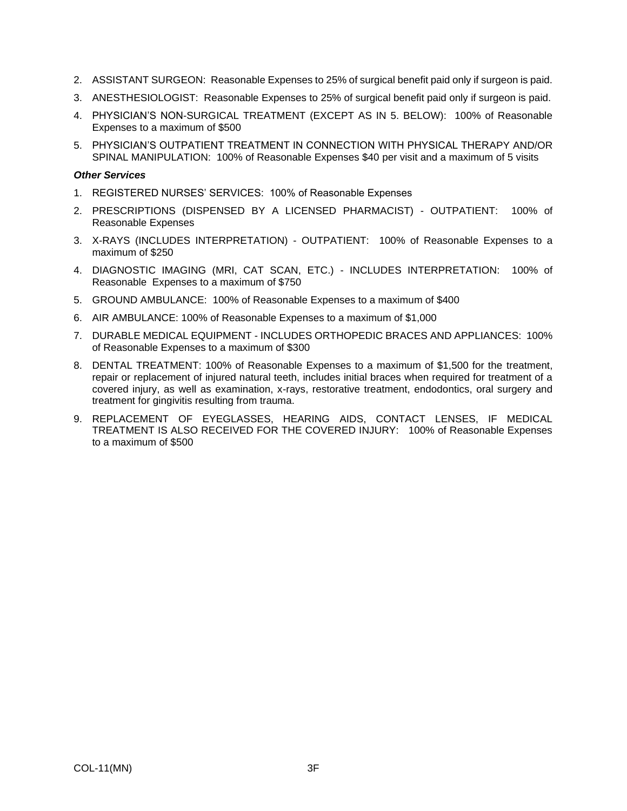- 2. ASSISTANT SURGEON: Reasonable Expenses to 25% of surgical benefit paid only if surgeon is paid.
- 3. ANESTHESIOLOGIST: Reasonable Expenses to 25% of surgical benefit paid only if surgeon is paid.
- 4. PHYSICIAN'S NON-SURGICAL TREATMENT (EXCEPT AS IN 5. BELOW): 100% of Reasonable Expenses to a maximum of \$500
- 5. PHYSICIAN'S OUTPATIENT TREATMENT IN CONNECTION WITH PHYSICAL THERAPY AND/OR SPINAL MANIPULATION: 100% of Reasonable Expenses \$40 per visit and a maximum of 5 visits

#### *Other Services*

- 1. REGISTERED NURSES' SERVICES: 100% of Reasonable Expenses
- 2. PRESCRIPTIONS (DISPENSED BY A LICENSED PHARMACIST) OUTPATIENT: 100% of Reasonable Expenses
- 3. X-RAYS (INCLUDES INTERPRETATION) OUTPATIENT: 100% of Reasonable Expenses to a maximum of \$250
- 4. DIAGNOSTIC IMAGING (MRI, CAT SCAN, ETC.) INCLUDES INTERPRETATION: 100% of Reasonable Expenses to a maximum of \$750
- 5. GROUND AMBULANCE: 100% of Reasonable Expenses to a maximum of \$400
- 6. AIR AMBULANCE: 100% of Reasonable Expenses to a maximum of \$1,000
- 7. DURABLE MEDICAL EQUIPMENT INCLUDES ORTHOPEDIC BRACES AND APPLIANCES: 100% of Reasonable Expenses to a maximum of \$300
- 8. DENTAL TREATMENT: 100% of Reasonable Expenses to a maximum of \$1,500 for the treatment, repair or replacement of injured natural teeth, includes initial braces when required for treatment of a covered injury, as well as examination, x-rays, restorative treatment, endodontics, oral surgery and treatment for gingivitis resulting from trauma.
- 9. REPLACEMENT OF EYEGLASSES, HEARING AIDS, CONTACT LENSES, IF MEDICAL TREATMENT IS ALSO RECEIVED FOR THE COVERED INJURY: 100% of Reasonable Expenses to a maximum of \$500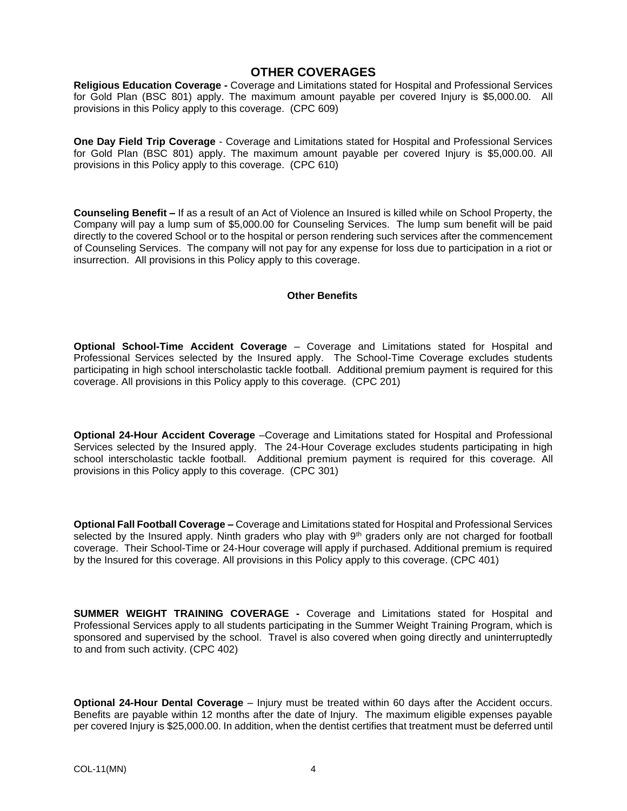# **OTHER COVERAGES**

**Religious Education Coverage -** Coverage and Limitations stated for Hospital and Professional Services for Gold Plan (BSC 801) apply. The maximum amount payable per covered Injury is \$5,000.00. All provisions in this Policy apply to this coverage. (CPC 609)

**One Day Field Trip Coverage** - Coverage and Limitations stated for Hospital and Professional Services for Gold Plan (BSC 801) apply. The maximum amount payable per covered Injury is \$5,000.00. All provisions in this Policy apply to this coverage. (CPC 610)

**Counseling Benefit –** If as a result of an Act of Violence an Insured is killed while on School Property, the Company will pay a lump sum of \$5,000.00 for Counseling Services. The lump sum benefit will be paid directly to the covered School or to the hospital or person rendering such services after the commencement of Counseling Services. The company will not pay for any expense for loss due to participation in a riot or insurrection. All provisions in this Policy apply to this coverage.

### **Other Benefits**

**Optional School-Time Accident Coverage** – Coverage and Limitations stated for Hospital and Professional Services selected by the Insured apply. The School-Time Coverage excludes students participating in high school interscholastic tackle football. Additional premium payment is required for this coverage. All provisions in this Policy apply to this coverage. (CPC 201)

**Optional 24-Hour Accident Coverage** –Coverage and Limitations stated for Hospital and Professional Services selected by the Insured apply. The 24-Hour Coverage excludes students participating in high school interscholastic tackle football. Additional premium payment is required for this coverage. All provisions in this Policy apply to this coverage. (CPC 301)

**Optional Fall Football Coverage –** Coverage and Limitations stated for Hospital and Professional Services selected by the Insured apply. Ninth graders who play with 9<sup>th</sup> graders only are not charged for football coverage. Their School-Time or 24-Hour coverage will apply if purchased. Additional premium is required by the Insured for this coverage. All provisions in this Policy apply to this coverage. (CPC 401)

**SUMMER WEIGHT TRAINING COVERAGE -** Coverage and Limitations stated for Hospital and Professional Services apply to all students participating in the Summer Weight Training Program, which is sponsored and supervised by the school. Travel is also covered when going directly and uninterruptedly to and from such activity. (CPC 402)

**Optional 24-Hour Dental Coverage** – Injury must be treated within 60 days after the Accident occurs. Benefits are payable within 12 months after the date of Injury. The maximum eligible expenses payable per covered Injury is \$25,000.00. In addition, when the dentist certifies that treatment must be deferred until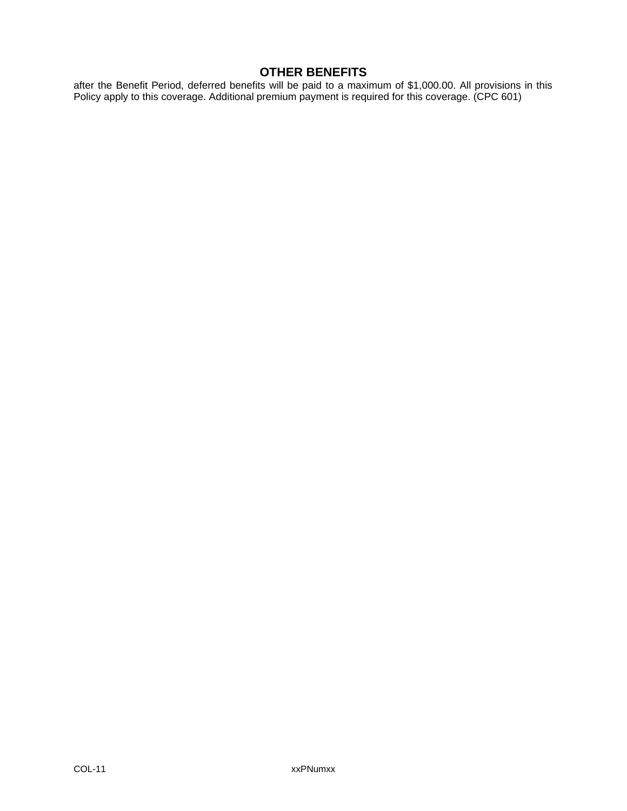# **OTHER BENEFITS**

after the Benefit Period, deferred benefits will be paid to a maximum of \$1,000.00. All provisions in this Policy apply to this coverage. Additional premium payment is required for this coverage. (CPC 601)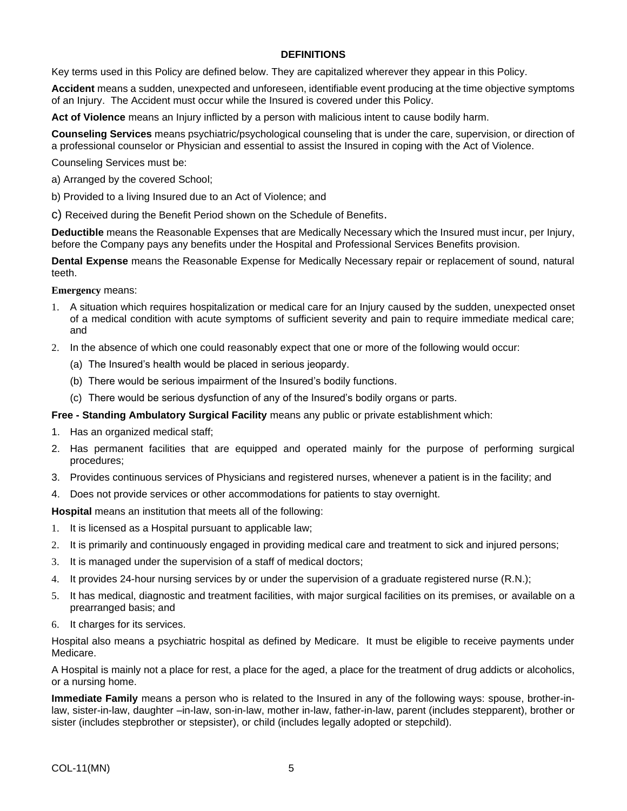### **DEFINITIONS**

Key terms used in this Policy are defined below. They are capitalized wherever they appear in this Policy.

**Accident** means a sudden, unexpected and unforeseen, identifiable event producing at the time objective symptoms of an Injury. The Accident must occur while the Insured is covered under this Policy.

**Act of Violence** means an Injury inflicted by a person with malicious intent to cause bodily harm.

**Counseling Services** means psychiatric/psychological counseling that is under the care, supervision, or direction of a professional counselor or Physician and essential to assist the Insured in coping with the Act of Violence.

Counseling Services must be:

- a) Arranged by the covered School;
- b) Provided to a living Insured due to an Act of Violence; and
- c) Received during the Benefit Period shown on the Schedule of Benefits.

**Deductible** means the Reasonable Expenses that are Medically Necessary which the Insured must incur, per Injury, before the Company pays any benefits under the Hospital and Professional Services Benefits provision.

**Dental Expense** means the Reasonable Expense for Medically Necessary repair or replacement of sound, natural teeth.

**Emergency** means:

- 1. A situation which requires hospitalization or medical care for an Injury caused by the sudden, unexpected onset of a medical condition with acute symptoms of sufficient severity and pain to require immediate medical care; and
- 2. In the absence of which one could reasonably expect that one or more of the following would occur:
	- (a) The Insured's health would be placed in serious jeopardy.
	- (b) There would be serious impairment of the Insured's bodily functions.
	- (c) There would be serious dysfunction of any of the Insured's bodily organs or parts.

**Free - Standing Ambulatory Surgical Facility** means any public or private establishment which:

- 1. Has an organized medical staff;
- 2. Has permanent facilities that are equipped and operated mainly for the purpose of performing surgical procedures;
- 3. Provides continuous services of Physicians and registered nurses, whenever a patient is in the facility; and
- 4. Does not provide services or other accommodations for patients to stay overnight.

**Hospital** means an institution that meets all of the following:

- 1. It is licensed as a Hospital pursuant to applicable law;
- 2. It is primarily and continuously engaged in providing medical care and treatment to sick and injured persons;
- 3. It is managed under the supervision of a staff of medical doctors;
- 4. It provides 24-hour nursing services by or under the supervision of a graduate registered nurse (R.N.);
- 5. It has medical, diagnostic and treatment facilities, with major surgical facilities on its premises, or available on a prearranged basis; and
- 6. It charges for its services.

Hospital also means a psychiatric hospital as defined by Medicare. It must be eligible to receive payments under Medicare.

A Hospital is mainly not a place for rest, a place for the aged, a place for the treatment of drug addicts or alcoholics, or a nursing home.

**Immediate Family** means a person who is related to the Insured in any of the following ways: spouse, brother-inlaw, sister-in-law, daughter –in-law, son-in-law, mother in-law, father-in-law, parent (includes stepparent), brother or sister (includes stepbrother or stepsister), or child (includes legally adopted or stepchild).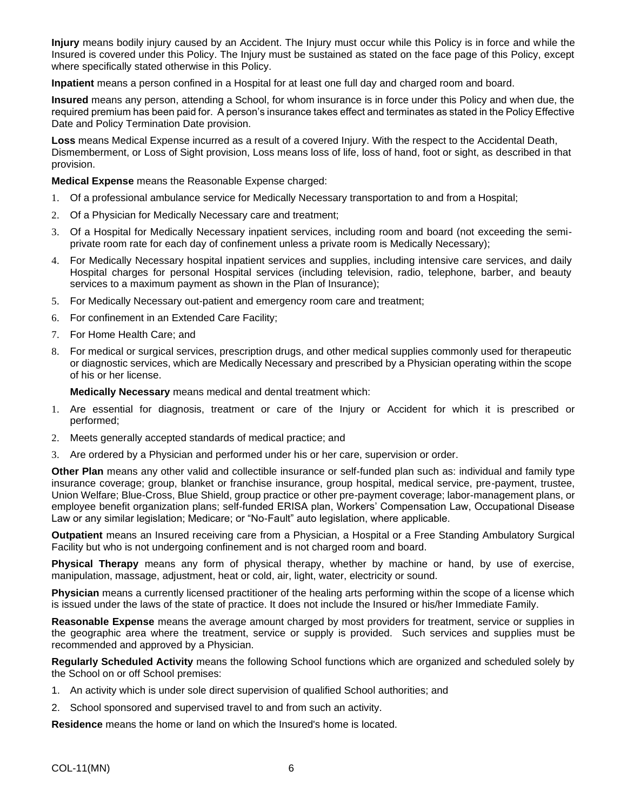**Injury** means bodily injury caused by an Accident. The Injury must occur while this Policy is in force and while the Insured is covered under this Policy. The Injury must be sustained as stated on the face page of this Policy, except where specifically stated otherwise in this Policy.

**Inpatient** means a person confined in a Hospital for at least one full day and charged room and board.

**Insured** means any person, attending a School, for whom insurance is in force under this Policy and when due, the required premium has been paid for. A person's insurance takes effect and terminates as stated in the Policy Effective Date and Policy Termination Date provision.

**Loss** means Medical Expense incurred as a result of a covered Injury. With the respect to the Accidental Death, Dismemberment, or Loss of Sight provision, Loss means loss of life, loss of hand, foot or sight, as described in that provision.

**Medical Expense** means the Reasonable Expense charged:

- 1. Of a professional ambulance service for Medically Necessary transportation to and from a Hospital;
- 2. Of a Physician for Medically Necessary care and treatment;
- 3. Of a Hospital for Medically Necessary inpatient services, including room and board (not exceeding the semiprivate room rate for each day of confinement unless a private room is Medically Necessary);
- 4. For Medically Necessary hospital inpatient services and supplies, including intensive care services, and daily Hospital charges for personal Hospital services (including television, radio, telephone, barber, and beauty services to a maximum payment as shown in the Plan of Insurance);
- 5. For Medically Necessary out-patient and emergency room care and treatment;
- 6. For confinement in an Extended Care Facility;
- 7. For Home Health Care; and
- 8. For medical or surgical services, prescription drugs, and other medical supplies commonly used for therapeutic or diagnostic services, which are Medically Necessary and prescribed by a Physician operating within the scope of his or her license.

**Medically Necessary** means medical and dental treatment which:

- 1. Are essential for diagnosis, treatment or care of the Injury or Accident for which it is prescribed or performed;
- 2. Meets generally accepted standards of medical practice; and
- 3. Are ordered by a Physician and performed under his or her care, supervision or order.

**Other Plan** means any other valid and collectible insurance or self-funded plan such as: individual and family type insurance coverage; group, blanket or franchise insurance, group hospital, medical service, pre-payment, trustee, Union Welfare; Blue-Cross, Blue Shield, group practice or other pre-payment coverage; labor-management plans, or employee benefit organization plans; self-funded ERISA plan, Workers' Compensation Law, Occupational Disease Law or any similar legislation; Medicare; or "No-Fault" auto legislation, where applicable.

**Outpatient** means an Insured receiving care from a Physician, a Hospital or a Free Standing Ambulatory Surgical Facility but who is not undergoing confinement and is not charged room and board.

**Physical Therapy** means any form of physical therapy, whether by machine or hand, by use of exercise, manipulation, massage, adjustment, heat or cold, air, light, water, electricity or sound.

**Physician** means a currently licensed practitioner of the healing arts performing within the scope of a license which is issued under the laws of the state of practice. It does not include the Insured or his/her Immediate Family.

**Reasonable Expense** means the average amount charged by most providers for treatment, service or supplies in the geographic area where the treatment, service or supply is provided. Such services and supplies must be recommended and approved by a Physician.

**Regularly Scheduled Activity** means the following School functions which are organized and scheduled solely by the School on or off School premises:

- 1. An activity which is under sole direct supervision of qualified School authorities; and
- 2. School sponsored and supervised travel to and from such an activity.

**Residence** means the home or land on which the Insured's home is located.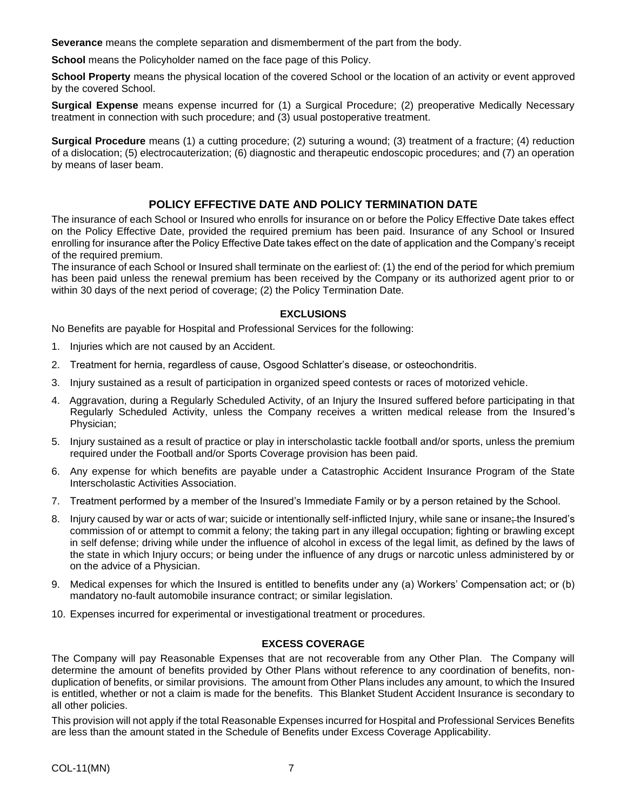**Severance** means the complete separation and dismemberment of the part from the body.

**School** means the Policyholder named on the face page of this Policy.

**School Property** means the physical location of the covered School or the location of an activity or event approved by the covered School.

**Surgical Expense** means expense incurred for (1) a Surgical Procedure; (2) preoperative Medically Necessary treatment in connection with such procedure; and (3) usual postoperative treatment.

**Surgical Procedure** means (1) a cutting procedure; (2) suturing a wound; (3) treatment of a fracture; (4) reduction of a dislocation; (5) electrocauterization; (6) diagnostic and therapeutic endoscopic procedures; and (7) an operation by means of laser beam.

# **POLICY EFFECTIVE DATE AND POLICY TERMINATION DATE**

The insurance of each School or Insured who enrolls for insurance on or before the Policy Effective Date takes effect on the Policy Effective Date, provided the required premium has been paid. Insurance of any School or Insured enrolling for insurance after the Policy Effective Date takes effect on the date of application and the Company's receipt of the required premium.

The insurance of each School or Insured shall terminate on the earliest of: (1) the end of the period for which premium has been paid unless the renewal premium has been received by the Company or its authorized agent prior to or within 30 days of the next period of coverage; (2) the Policy Termination Date.

# **EXCLUSIONS**

No Benefits are payable for Hospital and Professional Services for the following:

- 1. Injuries which are not caused by an Accident.
- 2. Treatment for hernia, regardless of cause, Osgood Schlatter's disease, or osteochondritis.
- 3. Injury sustained as a result of participation in organized speed contests or races of motorized vehicle.
- 4. Aggravation, during a Regularly Scheduled Activity, of an Injury the Insured suffered before participating in that Regularly Scheduled Activity, unless the Company receives a written medical release from the Insured's Physician;
- 5. Injury sustained as a result of practice or play in interscholastic tackle football and/or sports, unless the premium required under the Football and/or Sports Coverage provision has been paid.
- 6. Any expense for which benefits are payable under a Catastrophic Accident Insurance Program of the State Interscholastic Activities Association.
- 7. Treatment performed by a member of the Insured's Immediate Family or by a person retained by the School.
- 8. Injury caused by war or acts of war; suicide or intentionally self-inflicted Injury, while sane or insane; the Insured's commission of or attempt to commit a felony; the taking part in any illegal occupation; fighting or brawling except in self defense; driving while under the influence of alcohol in excess of the legal limit, as defined by the laws of the state in which Injury occurs; or being under the influence of any drugs or narcotic unless administered by or on the advice of a Physician.
- 9. Medical expenses for which the Insured is entitled to benefits under any (a) Workers' Compensation act; or (b) mandatory no-fault automobile insurance contract; or similar legislation.
- 10. Expenses incurred for experimental or investigational treatment or procedures.

# **EXCESS COVERAGE**

The Company will pay Reasonable Expenses that are not recoverable from any Other Plan. The Company will determine the amount of benefits provided by Other Plans without reference to any coordination of benefits, nonduplication of benefits, or similar provisions. The amount from Other Plans includes any amount, to which the Insured is entitled, whether or not a claim is made for the benefits. This Blanket Student Accident Insurance is secondary to all other policies.

This provision will not apply if the total Reasonable Expenses incurred for Hospital and Professional Services Benefits are less than the amount stated in the Schedule of Benefits under Excess Coverage Applicability.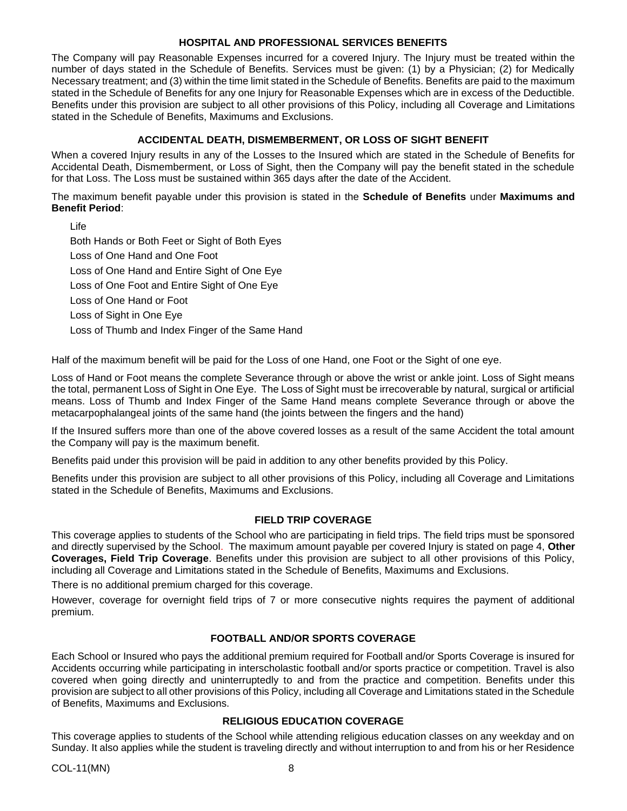#### **HOSPITAL AND PROFESSIONAL SERVICES BENEFITS**

The Company will pay Reasonable Expenses incurred for a covered Injury. The Injury must be treated within the number of days stated in the Schedule of Benefits. Services must be given: (1) by a Physician; (2) for Medically Necessary treatment; and (3) within the time limit stated in the Schedule of Benefits. Benefits are paid to the maximum stated in the Schedule of Benefits for any one Injury for Reasonable Expenses which are in excess of the Deductible. Benefits under this provision are subject to all other provisions of this Policy, including all Coverage and Limitations stated in the Schedule of Benefits, Maximums and Exclusions.

# **ACCIDENTAL DEATH, DISMEMBERMENT, OR LOSS OF SIGHT BENEFIT**

When a covered Injury results in any of the Losses to the Insured which are stated in the Schedule of Benefits for Accidental Death, Dismemberment, or Loss of Sight, then the Company will pay the benefit stated in the schedule for that Loss. The Loss must be sustained within 365 days after the date of the Accident.

The maximum benefit payable under this provision is stated in the **Schedule of Benefits** under **Maximums and Benefit Period**:

Life

Both Hands or Both Feet or Sight of Both Eyes Loss of One Hand and One Foot Loss of One Hand and Entire Sight of One Eye Loss of One Foot and Entire Sight of One Eye Loss of One Hand or Foot Loss of Sight in One Eye Loss of Thumb and Index Finger of the Same Hand

Half of the maximum benefit will be paid for the Loss of one Hand, one Foot or the Sight of one eye.

Loss of Hand or Foot means the complete Severance through or above the wrist or ankle joint. Loss of Sight means the total, permanent Loss of Sight in One Eye. The Loss of Sight must be irrecoverable by natural, surgical or artificial means. Loss of Thumb and Index Finger of the Same Hand means complete Severance through or above the metacarpophalangeal joints of the same hand (the joints between the fingers and the hand)

If the Insured suffers more than one of the above covered losses as a result of the same Accident the total amount the Company will pay is the maximum benefit.

Benefits paid under this provision will be paid in addition to any other benefits provided by this Policy.

Benefits under this provision are subject to all other provisions of this Policy, including all Coverage and Limitations stated in the Schedule of Benefits, Maximums and Exclusions.

# **FIELD TRIP COVERAGE**

This coverage applies to students of the School who are participating in field trips. The field trips must be sponsored and directly supervised by the School. The maximum amount payable per covered Injury is stated on page 4, **Other Coverages, Field Trip Coverage**. Benefits under this provision are subject to all other provisions of this Policy, including all Coverage and Limitations stated in the Schedule of Benefits, Maximums and Exclusions.

There is no additional premium charged for this coverage.

However, coverage for overnight field trips of 7 or more consecutive nights requires the payment of additional premium.

# **FOOTBALL AND/OR SPORTS COVERAGE**

Each School or Insured who pays the additional premium required for Football and/or Sports Coverage is insured for Accidents occurring while participating in interscholastic football and/or sports practice or competition. Travel is also covered when going directly and uninterruptedly to and from the practice and competition. Benefits under this provision are subject to all other provisions of this Policy, including all Coverage and Limitations stated in the Schedule of Benefits, Maximums and Exclusions.

# **RELIGIOUS EDUCATION COVERAGE**

This coverage applies to students of the School while attending religious education classes on any weekday and on Sunday. It also applies while the student is traveling directly and without interruption to and from his or her Residence

COL-11(MN) 8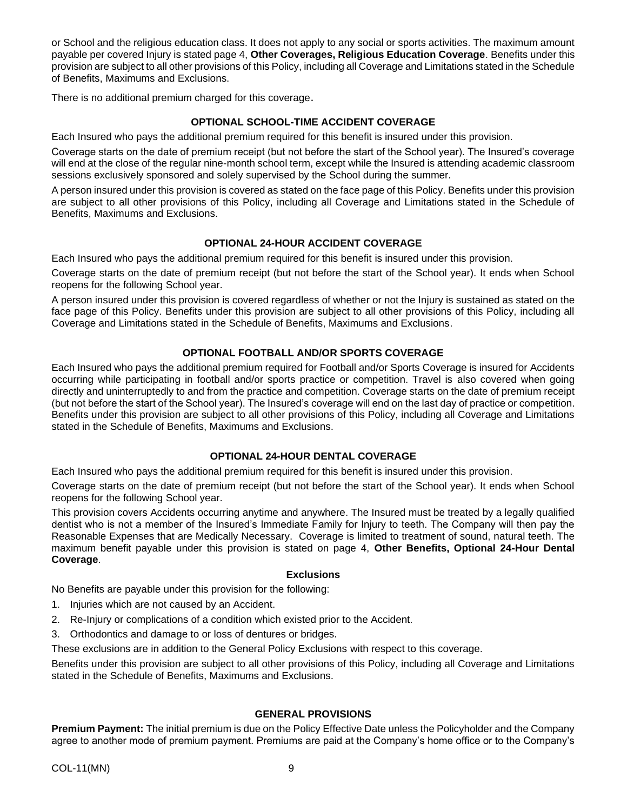or School and the religious education class. It does not apply to any social or sports activities. The maximum amount payable per covered Injury is stated page 4, **Other Coverages, Religious Education Coverage**. Benefits under this provision are subject to all other provisions of this Policy, including all Coverage and Limitations stated in the Schedule of Benefits, Maximums and Exclusions.

There is no additional premium charged for this coverage.

### **OPTIONAL SCHOOL-TIME ACCIDENT COVERAGE**

Each Insured who pays the additional premium required for this benefit is insured under this provision.

Coverage starts on the date of premium receipt (but not before the start of the School year). The Insured's coverage will end at the close of the regular nine-month school term, except while the Insured is attending academic classroom sessions exclusively sponsored and solely supervised by the School during the summer.

A person insured under this provision is covered as stated on the face page of this Policy. Benefits under this provision are subject to all other provisions of this Policy, including all Coverage and Limitations stated in the Schedule of Benefits, Maximums and Exclusions.

# **OPTIONAL 24-HOUR ACCIDENT COVERAGE**

Each Insured who pays the additional premium required for this benefit is insured under this provision.

Coverage starts on the date of premium receipt (but not before the start of the School year). It ends when School reopens for the following School year.

A person insured under this provision is covered regardless of whether or not the Injury is sustained as stated on the face page of this Policy. Benefits under this provision are subject to all other provisions of this Policy, including all Coverage and Limitations stated in the Schedule of Benefits, Maximums and Exclusions.

# **OPTIONAL FOOTBALL AND/OR SPORTS COVERAGE**

Each Insured who pays the additional premium required for Football and/or Sports Coverage is insured for Accidents occurring while participating in football and/or sports practice or competition. Travel is also covered when going directly and uninterruptedly to and from the practice and competition. Coverage starts on the date of premium receipt (but not before the start of the School year). The Insured's coverage will end on the last day of practice or competition. Benefits under this provision are subject to all other provisions of this Policy, including all Coverage and Limitations stated in the Schedule of Benefits, Maximums and Exclusions.

# **OPTIONAL 24-HOUR DENTAL COVERAGE**

Each Insured who pays the additional premium required for this benefit is insured under this provision.

Coverage starts on the date of premium receipt (but not before the start of the School year). It ends when School reopens for the following School year.

This provision covers Accidents occurring anytime and anywhere. The Insured must be treated by a legally qualified dentist who is not a member of the Insured's Immediate Family for Injury to teeth. The Company will then pay the Reasonable Expenses that are Medically Necessary. Coverage is limited to treatment of sound, natural teeth. The maximum benefit payable under this provision is stated on page 4, **Other Benefits, Optional 24-Hour Dental Coverage**.

# **Exclusions**

No Benefits are payable under this provision for the following:

- 1. Injuries which are not caused by an Accident.
- 2. Re-Injury or complications of a condition which existed prior to the Accident.
- 3. Orthodontics and damage to or loss of dentures or bridges.

These exclusions are in addition to the General Policy Exclusions with respect to this coverage.

Benefits under this provision are subject to all other provisions of this Policy, including all Coverage and Limitations stated in the Schedule of Benefits, Maximums and Exclusions.

# **GENERAL PROVISIONS**

**Premium Payment:** The initial premium is due on the Policy Effective Date unless the Policyholder and the Company agree to another mode of premium payment. Premiums are paid at the Company's home office or to the Company's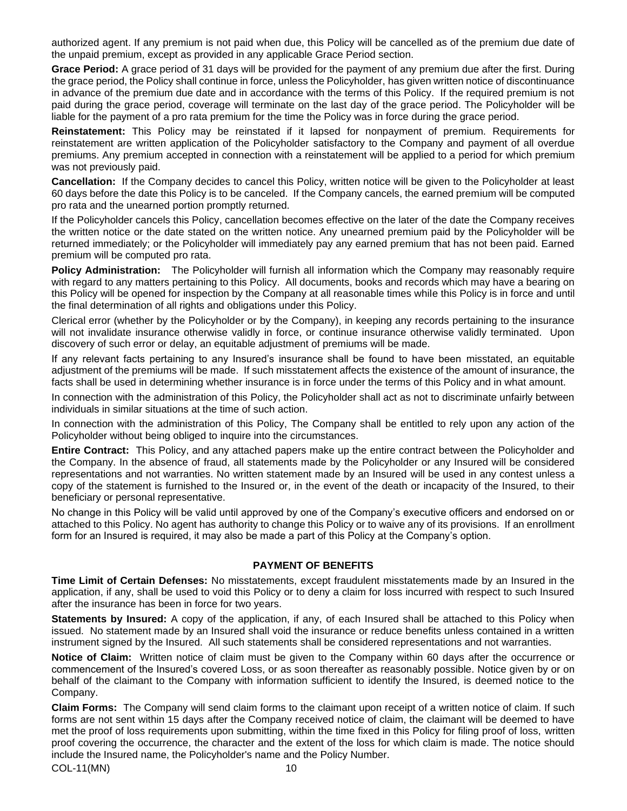authorized agent. If any premium is not paid when due, this Policy will be cancelled as of the premium due date of the unpaid premium, except as provided in any applicable Grace Period section.

**Grace Period:** A grace period of 31 days will be provided for the payment of any premium due after the first. During the grace period, the Policy shall continue in force, unless the Policyholder, has given written notice of discontinuance in advance of the premium due date and in accordance with the terms of this Policy. If the required premium is not paid during the grace period, coverage will terminate on the last day of the grace period. The Policyholder will be liable for the payment of a pro rata premium for the time the Policy was in force during the grace period.

**Reinstatement:** This Policy may be reinstated if it lapsed for nonpayment of premium. Requirements for reinstatement are written application of the Policyholder satisfactory to the Company and payment of all overdue premiums. Any premium accepted in connection with a reinstatement will be applied to a period for which premium was not previously paid.

**Cancellation:** If the Company decides to cancel this Policy, written notice will be given to the Policyholder at least 60 days before the date this Policy is to be canceled. If the Company cancels, the earned premium will be computed pro rata and the unearned portion promptly returned.

If the Policyholder cancels this Policy, cancellation becomes effective on the later of the date the Company receives the written notice or the date stated on the written notice. Any unearned premium paid by the Policyholder will be returned immediately; or the Policyholder will immediately pay any earned premium that has not been paid. Earned premium will be computed pro rata.

**Policy Administration:** The Policyholder will furnish all information which the Company may reasonably require with regard to any matters pertaining to this Policy. All documents, books and records which may have a bearing on this Policy will be opened for inspection by the Company at all reasonable times while this Policy is in force and until the final determination of all rights and obligations under this Policy.

Clerical error (whether by the Policyholder or by the Company), in keeping any records pertaining to the insurance will not invalidate insurance otherwise validly in force, or continue insurance otherwise validly terminated. Upon discovery of such error or delay, an equitable adjustment of premiums will be made.

If any relevant facts pertaining to any Insured's insurance shall be found to have been misstated, an equitable adjustment of the premiums will be made. If such misstatement affects the existence of the amount of insurance, the facts shall be used in determining whether insurance is in force under the terms of this Policy and in what amount.

In connection with the administration of this Policy, the Policyholder shall act as not to discriminate unfairly between individuals in similar situations at the time of such action.

In connection with the administration of this Policy, The Company shall be entitled to rely upon any action of the Policyholder without being obliged to inquire into the circumstances.

**Entire Contract:** This Policy, and any attached papers make up the entire contract between the Policyholder and the Company. In the absence of fraud, all statements made by the Policyholder or any Insured will be considered representations and not warranties. No written statement made by an Insured will be used in any contest unless a copy of the statement is furnished to the Insured or, in the event of the death or incapacity of the Insured, to their beneficiary or personal representative.

No change in this Policy will be valid until approved by one of the Company's executive officers and endorsed on or attached to this Policy. No agent has authority to change this Policy or to waive any of its provisions. If an enrollment form for an Insured is required, it may also be made a part of this Policy at the Company's option.

# **PAYMENT OF BENEFITS**

**Time Limit of Certain Defenses:** No misstatements, except fraudulent misstatements made by an Insured in the application, if any, shall be used to void this Policy or to deny a claim for loss incurred with respect to such Insured after the insurance has been in force for two years.

**Statements by Insured:** A copy of the application, if any, of each Insured shall be attached to this Policy when issued. No statement made by an Insured shall void the insurance or reduce benefits unless contained in a written instrument signed by the Insured. All such statements shall be considered representations and not warranties.

**Notice of Claim:** Written notice of claim must be given to the Company within 60 days after the occurrence or commencement of the Insured's covered Loss, or as soon thereafter as reasonably possible. Notice given by or on behalf of the claimant to the Company with information sufficient to identify the Insured, is deemed notice to the Company.

**Claim Forms:** The Company will send claim forms to the claimant upon receipt of a written notice of claim. If such forms are not sent within 15 days after the Company received notice of claim, the claimant will be deemed to have met the proof of loss requirements upon submitting, within the time fixed in this Policy for filing proof of loss, written proof covering the occurrence, the character and the extent of the loss for which claim is made. The notice should include the Insured name, the Policyholder's name and the Policy Number.